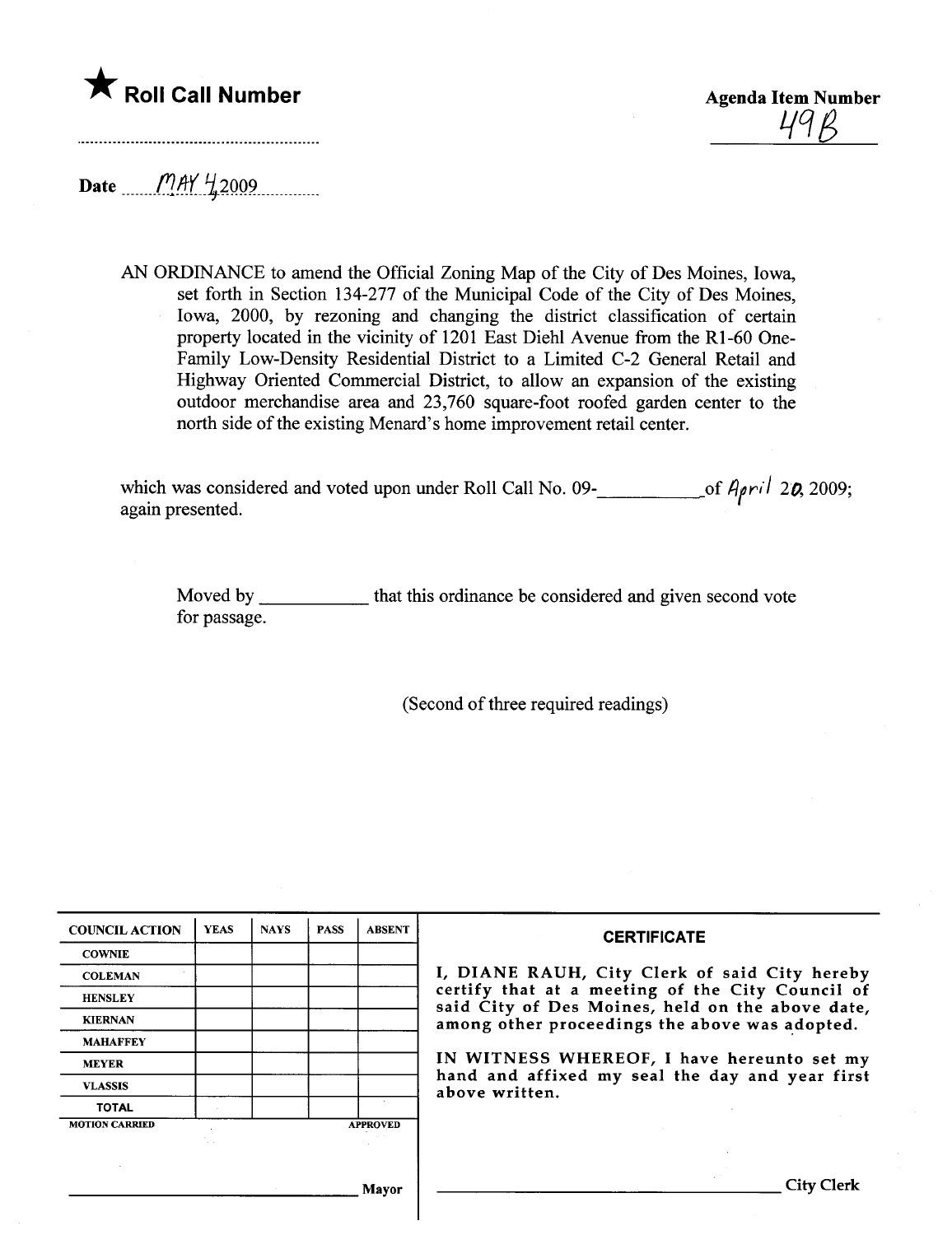## \* Roll Call Number Agenda Item Number

 $49R$ 

Date  $\frac{MAY \frac{11}{2009}}{M.1}$ 

AN ORDINANCE to amend the Official Zoning Map of the City of Des Moines, Iowa, set forth in Section 134-277 of the Municipal Code of the City of Des Moines, Iowa, 2000, by rezoning and changing the district classification of certain property located in the vicinity of 1201 East Diehl Avenue from the Rl-60 One-Family Low-Density Residential District to a Limited C-2 General Retail and Highway Oriented Commercial District, to allow an expansion of the existing outdoor merchandise area and 23,760 square-foot roofed garden center to the north side of the existing Menard's home improvement retail center.

which was considered and voted upon under Roll Call No. 09- $\frac{1}{\sqrt{7}}$  of  $A$ <sub>*pril*</sub> 2**0**, 2009 again presented.

Moved by \_\_\_\_\_\_\_\_\_\_\_\_\_ that this ordinance be considered and given second vote for passage.

(Second of three required readings)

| <b>COUNCIL ACTION</b> | <b>YEAS</b> | <b>NAYS</b> | <b>PASS</b> | <b>ABSENT</b>   | <b>CERTIFICATE</b>                                                                                                                                     |  |  |  |  |  |
|-----------------------|-------------|-------------|-------------|-----------------|--------------------------------------------------------------------------------------------------------------------------------------------------------|--|--|--|--|--|
| <b>COWNIE</b>         |             |             |             |                 |                                                                                                                                                        |  |  |  |  |  |
| <b>COLEMAN</b>        |             |             |             |                 | I, DIANE RAUH, City Clerk of said City hereby                                                                                                          |  |  |  |  |  |
| <b>HENSLEY</b>        |             |             |             |                 | certify that at a meeting of the City Council of<br>said City of Des Moines, held on the above date,<br>among other proceedings the above was adopted. |  |  |  |  |  |
| <b>KIERNAN</b>        |             |             |             |                 |                                                                                                                                                        |  |  |  |  |  |
| <b>MAHAFFEY</b>       |             |             |             |                 |                                                                                                                                                        |  |  |  |  |  |
| <b>MEYER</b>          |             |             |             |                 | IN WITNESS WHEREOF, I have hereunto set my                                                                                                             |  |  |  |  |  |
| <b>VLASSIS</b>        |             |             |             |                 | hand and affixed my seal the day and year first<br>above written.                                                                                      |  |  |  |  |  |
| <b>TOTAL</b>          |             |             |             |                 |                                                                                                                                                        |  |  |  |  |  |
| <b>MOTION CARRIED</b> |             |             |             | <b>APPROVED</b> |                                                                                                                                                        |  |  |  |  |  |
|                       |             |             |             |                 |                                                                                                                                                        |  |  |  |  |  |
|                       |             |             |             |                 |                                                                                                                                                        |  |  |  |  |  |
|                       |             |             |             | Mayor           | <b>City Clerk</b>                                                                                                                                      |  |  |  |  |  |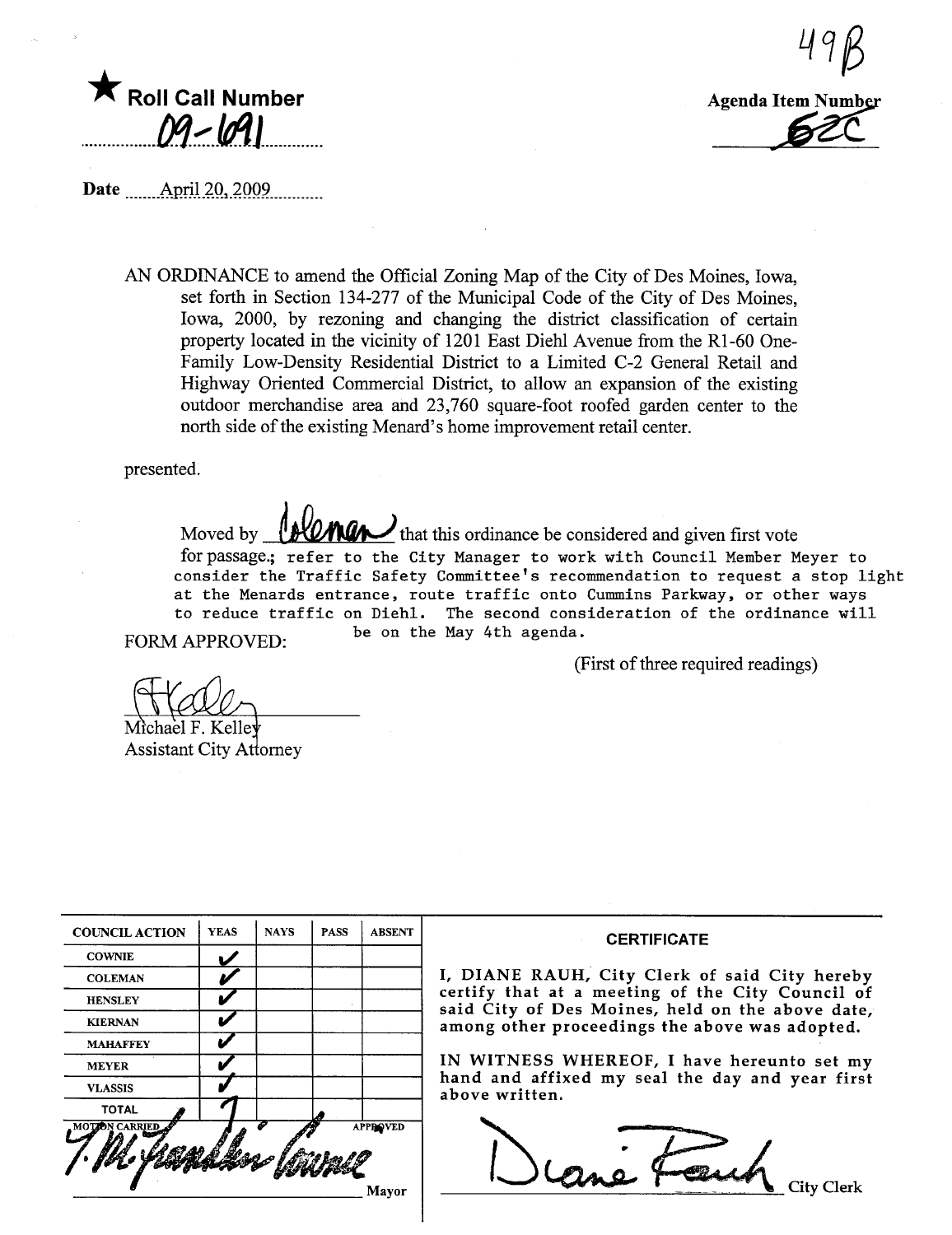

Agenda Item Number -

49B

Date .mmAp.rll.2Q..2QQ9.m\_\_.mm

AN ORDINANCE to amend the Official Zoning Map of the City of Des Moines, Iowa, set forth in Section 134-277 of the Municipal Code of the City of Des Moines, Iowa, 2000, by rezoning and changing the district classification of certain property located in the vicinity of 1201 East Diehl Avenue from the R1-60 One-Family Low-Density Residential District to a Limited C-2 General Retail and Highway Oriented Commercial District, to allow an expansion of the existing outdoor merchandise area and 23,760 square-foot roofed garden center to the north side of the existing Menard's home improvement retail center.

presented.

Moved by **ALLING i**that this ordinance be considered and given first vote for passage.; refer to the City Manager to work with Council Member Meyer to consider the Traffic Safety Committee's recommendation to request a stop light at the Menards entrance, route traffic onto Cummins Parkway, or other ways to reduce traffic on Diehl. The second consideration of the ordinance will FORM APPROVED: be on the May 4th agenda.

(First of three required readings)

Michael F. Kelle Assistant City Attorney

| <b>TOTAL</b><br><b>MOTZON CARRIED</b> |             |             |             | <b>APPROVED</b> |
|---------------------------------------|-------------|-------------|-------------|-----------------|
| <b>VLASSIS</b>                        |             |             |             |                 |
| <b>MEYER</b>                          |             |             |             |                 |
| <b>MAHAFFEY</b>                       |             |             |             |                 |
| <b>KIERNAN</b>                        |             |             |             |                 |
| <b>HENSLEY</b>                        |             |             |             |                 |
| <b>COLEMAN</b>                        |             |             |             |                 |
| <b>COWNIE</b>                         |             |             |             |                 |
| <b>COUNCIL ACTION</b>                 | <b>YEAS</b> | <b>NAYS</b> | <b>PASS</b> | <b>ABSENT</b>   |

## **CERTIFICATE**

, DIANE RAUH, City Clerk of said City hereby certify that at a meeting of the City Council of aid City of Des Moines, held on the above date, mong other proceedings the above was adopted.

IN WITNESS WHEREOF, I have hereunto set my and and affixed my seal the day and year first bove written.

cane Fouch City Clerk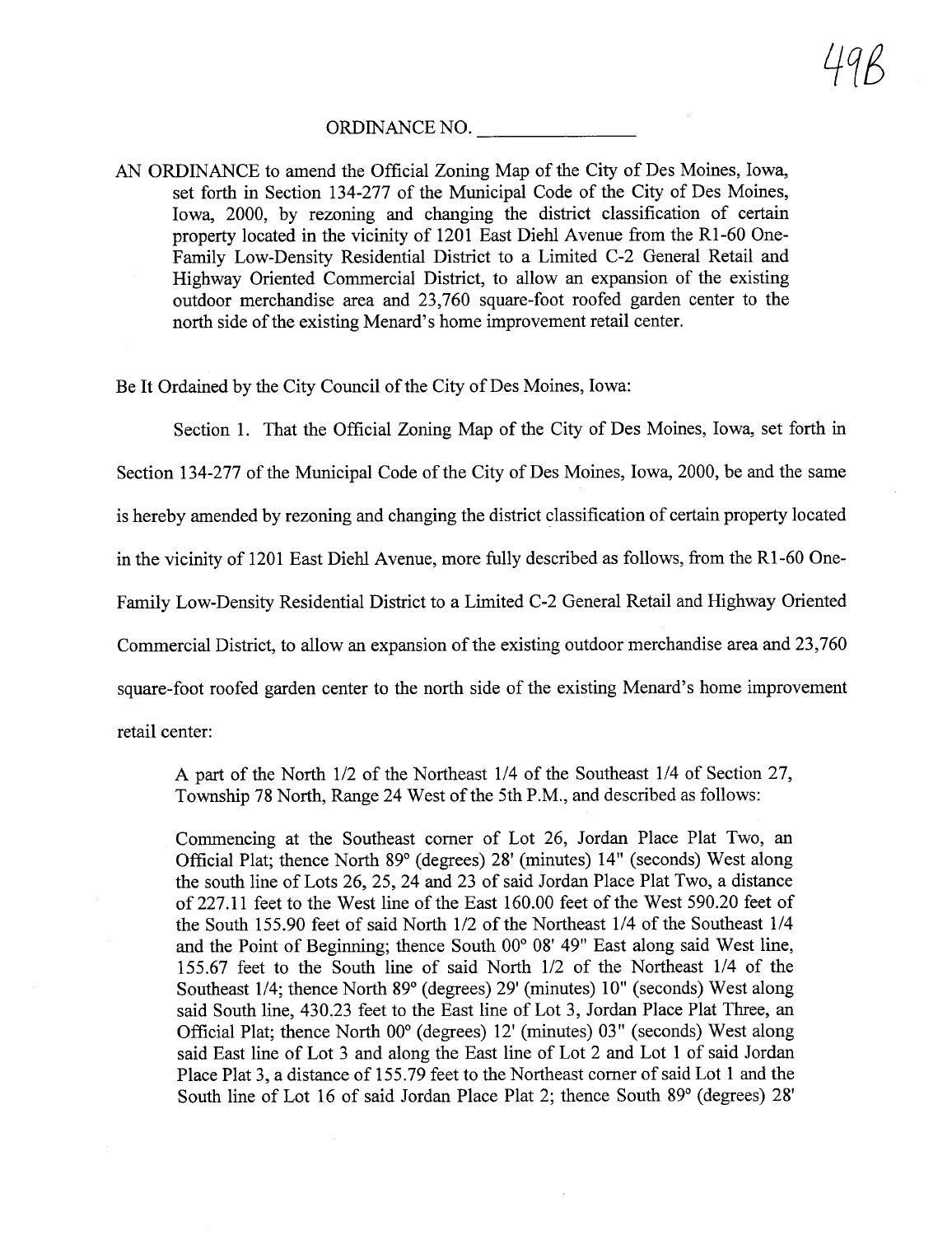## ORDINANCE NO.

AN ORDINANCE to amend the Official Zoning Map of the City of Des Moines, Iowa, set forth in Section 134-277 of the Municipal Code of the City of Des Moines, Iowa, 2000, by rezoning and changing the district classification of certain property located in the vicinity of 1201 East Diehl Avenue from the R1-60 One-Family Low-Density Residential District to a Limited C-2 General Retail and Highway Oriented Commercial District, to allow an expansion of the existing outdoor merchandise area and 23,760 square-foot roofed garden center to the north side of the existing Menard's home improvement retail center.

Be It Ordained by the City Council of the City of Des Moines, Iowa:

Section 1. That the Official Zoning Map of the City of Des Moines, Iowa, set forth in

Section 134-277 of the Municipal Code of the City of Des Moines, Iowa, 2000, be and the same

is hereby amended by rezoning and changing the district classification of certain property located

in the vicinity of 1201 East Diehl Avenue, more fully described as follows, from the Rl-60 One-

Family Low-Density Residential District to a Limited C-2 General Retail and Highway Oriented

Commercial District, to allow an expansion of the existing outdoor merchandise area and 23,760

square-foot roofed garden center to the north side of the existing Menard's home improvement

retail center:

A part of the North 1/2 of the Northeast 1/4 of the Southeast 1/4 of Section 27, Township 78 North, Range 24 West of the 5th P.M., and described as follows:

Commencing at the Southeast comer of Lot 26, Jordan Place Plat Two, an Official Plat; thence North 89° (degrees) 28' (minutes) 14" (seconds) West along the south line of Lots 26, 25, 24 and 23 of said Jordan Place Plat Two, a distance of227.11 feet to the West line of the East 160.00 feet of the West 590.20 feet of the South 155.90 feet of said North 1/2 of the Northeast 1/4 of the Southeast 1/4 and the Point of Beginning; thence South  $00^{\circ}$  08' 49" East along said West line, 155.67 feet to the South line of said North 1/2 of the Northeast 1/4 of the Southeast 1/4; thence North 89° (degrees) 29' (minutes) 10" (seconds) West along said South line, 430.23 feet to the East line of Lot 3, Jordan Place Plat Thee, an Official Plat; thence North 00° (degrees) 12' (minutes) 03" (seconds) West along said East line of Lot 3 and along the East line of Lot 2 and Lot 1 of said Jordan Place Plat 3, a distance of 155.79 feet to the Northeast comer of said Lot 1 and the South line of Lot 16 of said Jordan Place Plat 2; thence South 89° (degrees) 28'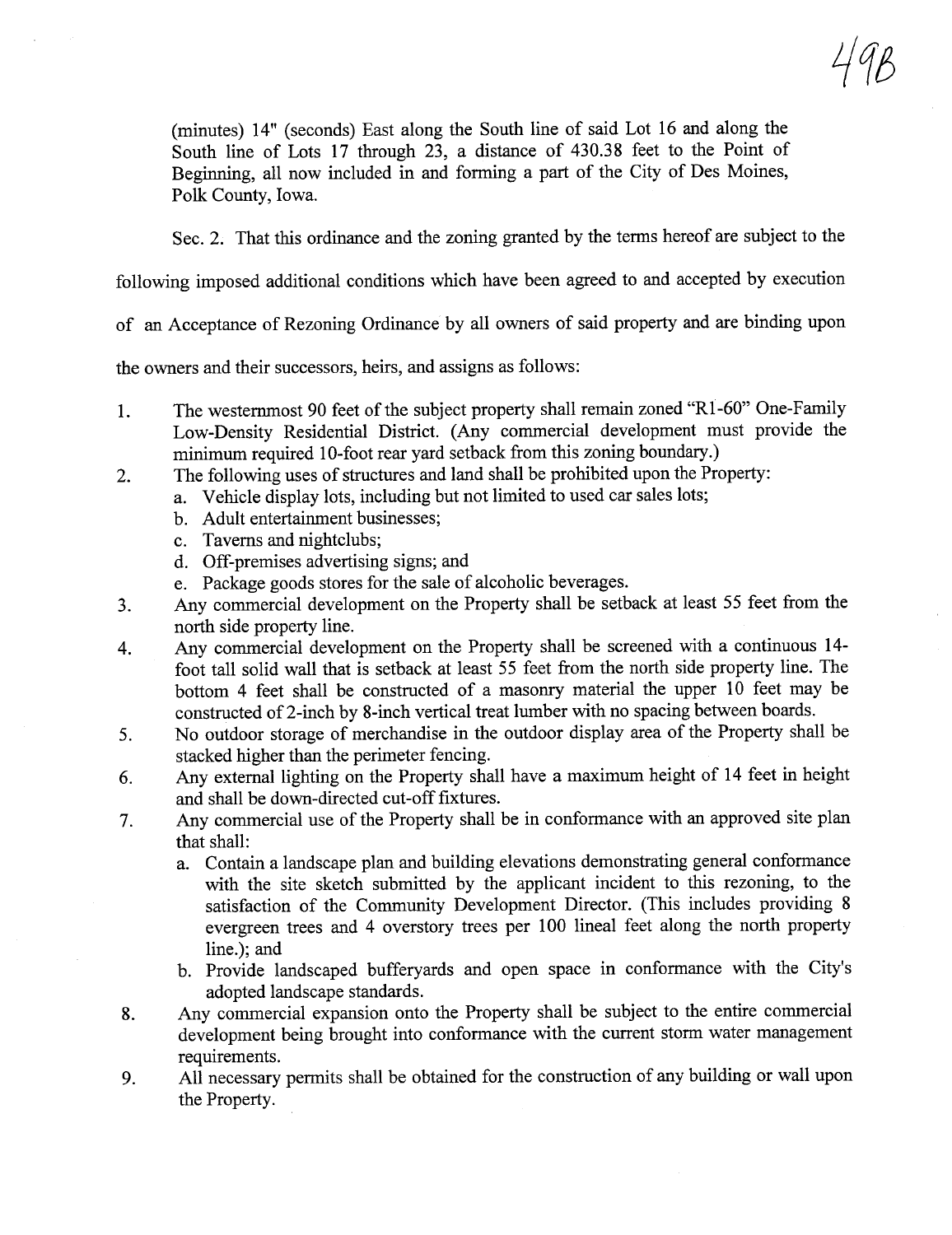(minutes) 14" (seconds) East along the South line of said Lot 16 and along the South line of Lots 17 through 23, a distance of 430.38 feet to the Point of Beginning, all now included in and forming a part of the City of Des Moines, Polk County, Iowa.

Sec. 2. That this ordinance and the zoning granted by the terms hereof are subject to the

116

following imposed additional conditions which have been agreed to and accepted by execution

of an Acceptance of Rezoning Ordinance by all owners of said property and are binding upon

the owners and their successors, heirs, and assigns as follows:

- 1. The westernmost 90 feet of the subject property shall remain zoned "R1-60" One-Family Low-Density Residential District. (Any commercial development must provide the minimum required 10-foot rear vard setback from this zoning boundary.)
- 2. The following uses of structures and land shall be prohibited upon the Property:
	- a. Vehicle display lots, including but not limited to used car sales lots;
	- b. Adult entertainment businesses;
	- c. Taverns and nightclubs;
	- d. Off-premises advertising signs; and
	- e. Package goods stores for the sale of alcoholic beverages.
- 3. Any commercial development on the Property shall be setback at least 55 feet from the north side property line.
- 4. Any commercial development on the Property shall be screened with a continuous 14foot tall solid wall that is setback at least 55 feet from the north side property line. The bottom 4 feet shall be constructed of a masonry material the upper 10 feet may be constructed of2-inch by 8-inch vertical treat lumber with no spacing between boards.
- 5. No outdoor storage of merchandise in the outdoor display area of the Property shall be stacked higher than the perimeter fencing.
- 6. Any external lighting on the Property shall have a maximum height of 14 feet in height and shall be down-directed cut-off fixtures.
- 7. Any commercial use of the Property shall be in conformance with an approved site plan that shall:
	- a. Contain a landscape plan and building elevations demonstrating general conformance with the site sketch submitted by the applicant incident to ths rezoning, to the satisfaction of the Communty Development Director. (This includes providing 8 evergreen trees and 4 overstory trees per 100 lineal feet along the north property line.); and
	- b. Provide landscaped bufferyards and open space in conformance with the City's adopted landscape standards.
- 8. Any commercial expansion onto the Property shall be subject to the entire commercial development being brought into conformance with the curent storm water management requirements.
- 9. All necessary permits shall be obtained for the construction of any building or wall upon the Property.